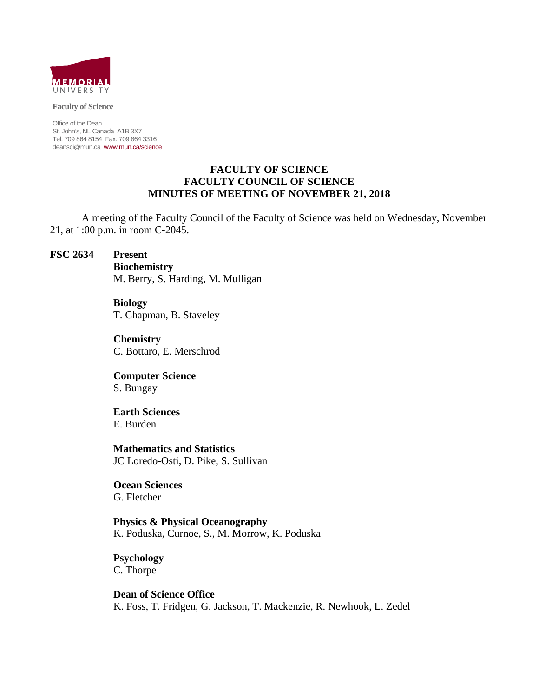

#### **Faculty of Science**

Office of the Dean St. John's, NL Canada A1B 3X7 Tel: 709 864 8154 Fax: 709 864 3316 deansci@mun.ca www.mun.ca/science

### **FACULTY OF SCIENCE FACULTY COUNCIL OF SCIENCE MINUTES OF MEETING OF NOVEMBER 21, 2018**

 A meeting of the Faculty Council of the Faculty of Science was held on Wednesday, November 21, at 1:00 p.m. in room C-2045.

#### **FSC 2634 Present**

 **Biochemistry** M. Berry, S. Harding, M. Mulligan

 **Biology** T. Chapman, B. Staveley

 **Chemistry** C. Bottaro, E. Merschrod

 **Computer Science** S. Bungay

 **Earth Sciences**  E. Burden

 **Mathematics and Statistics** JC Loredo-Osti, D. Pike, S. Sullivan

 **Ocean Sciences** G. Fletcher

 **Physics & Physical Oceanography** K. Poduska, Curnoe, S., M. Morrow, K. Poduska

 **Psychology** C. Thorpe

 **Dean of Science Office** K. Foss, T. Fridgen, G. Jackson, T. Mackenzie, R. Newhook, L. Zedel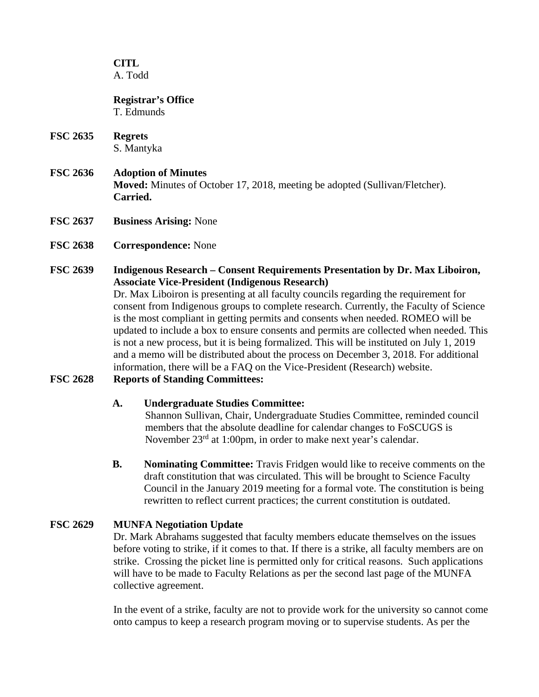### **CITL**  A. Todd

#### **Registrar's Office** T. Edmunds

- **FSC 2635 Regrets** S. Mantyka
- **FSC 2636 Adoption of Minutes Moved:** Minutes of October 17, 2018, meeting be adopted (Sullivan/Fletcher). **Carried.**
- **FSC 2637 Business Arising:** None
- **FSC 2638 Correspondence:** None

## **FSC 2639 Indigenous Research – Consent Requirements Presentation by Dr. Max Liboiron, Associate Vice-President (Indigenous Research)**

Dr. Max Liboiron is presenting at all faculty councils regarding the requirement for consent from Indigenous groups to complete research. Currently, the Faculty of Science is the most compliant in getting permits and consents when needed. ROMEO will be updated to include a box to ensure consents and permits are collected when needed. This is not a new process, but it is being formalized. This will be instituted on July 1, 2019 and a memo will be distributed about the process on December 3, 2018. For additional information, there will be a FAQ on the Vice-President (Research) website.

## **FSC 2628 Reports of Standing Committees:**

## **A. Undergraduate Studies Committee:**

Shannon Sullivan, Chair, Undergraduate Studies Committee, reminded council members that the absolute deadline for calendar changes to FoSCUGS is November 23rd at 1:00pm, in order to make next year's calendar.

**B. Nominating Committee:** Travis Fridgen would like to receive comments on the draft constitution that was circulated. This will be brought to Science Faculty Council in the January 2019 meeting for a formal vote. The constitution is being rewritten to reflect current practices; the current constitution is outdated.

## **FSC 2629 MUNFA Negotiation Update**

Dr. Mark Abrahams suggested that faculty members educate themselves on the issues before voting to strike, if it comes to that. If there is a strike, all faculty members are on strike. Crossing the picket line is permitted only for critical reasons. Such applications will have to be made to Faculty Relations as per the second last page of the MUNFA collective agreement.

In the event of a strike, faculty are not to provide work for the university so cannot come onto campus to keep a research program moving or to supervise students. As per the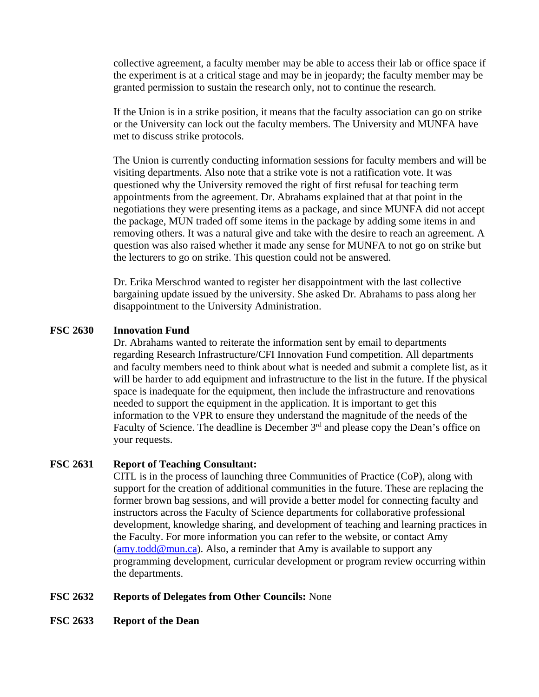collective agreement, a faculty member may be able to access their lab or office space if the experiment is at a critical stage and may be in jeopardy; the faculty member may be granted permission to sustain the research only, not to continue the research.

If the Union is in a strike position, it means that the faculty association can go on strike or the University can lock out the faculty members. The University and MUNFA have met to discuss strike protocols.

The Union is currently conducting information sessions for faculty members and will be visiting departments. Also note that a strike vote is not a ratification vote. It was questioned why the University removed the right of first refusal for teaching term appointments from the agreement. Dr. Abrahams explained that at that point in the negotiations they were presenting items as a package, and since MUNFA did not accept the package, MUN traded off some items in the package by adding some items in and removing others. It was a natural give and take with the desire to reach an agreement. A question was also raised whether it made any sense for MUNFA to not go on strike but the lecturers to go on strike. This question could not be answered.

Dr. Erika Merschrod wanted to register her disappointment with the last collective bargaining update issued by the university. She asked Dr. Abrahams to pass along her disappointment to the University Administration.

### **FSC 2630 Innovation Fund**

Dr. Abrahams wanted to reiterate the information sent by email to departments regarding Research Infrastructure/CFI Innovation Fund competition. All departments and faculty members need to think about what is needed and submit a complete list, as it will be harder to add equipment and infrastructure to the list in the future. If the physical space is inadequate for the equipment, then include the infrastructure and renovations needed to support the equipment in the application. It is important to get this information to the VPR to ensure they understand the magnitude of the needs of the Faculty of Science. The deadline is December 3<sup>rd</sup> and please copy the Dean's office on your requests.

### **FSC 2631 Report of Teaching Consultant:**

CITL is in the process of launching three Communities of Practice (CoP), along with support for the creation of additional communities in the future. These are replacing the former brown bag sessions, and will provide a better model for connecting faculty and instructors across the Faculty of Science departments for collaborative professional development, knowledge sharing, and development of teaching and learning practices in the Faculty. For more information you can refer to the website, or contact Amy  $(\text{amy}.todd@mun.ca)$ . Also, a reminder that Amy is available to support any programming development, curricular development or program review occurring within the departments.

### **FSC 2632 Reports of Delegates from Other Councils:** None

**FSC 2633 Report of the Dean**